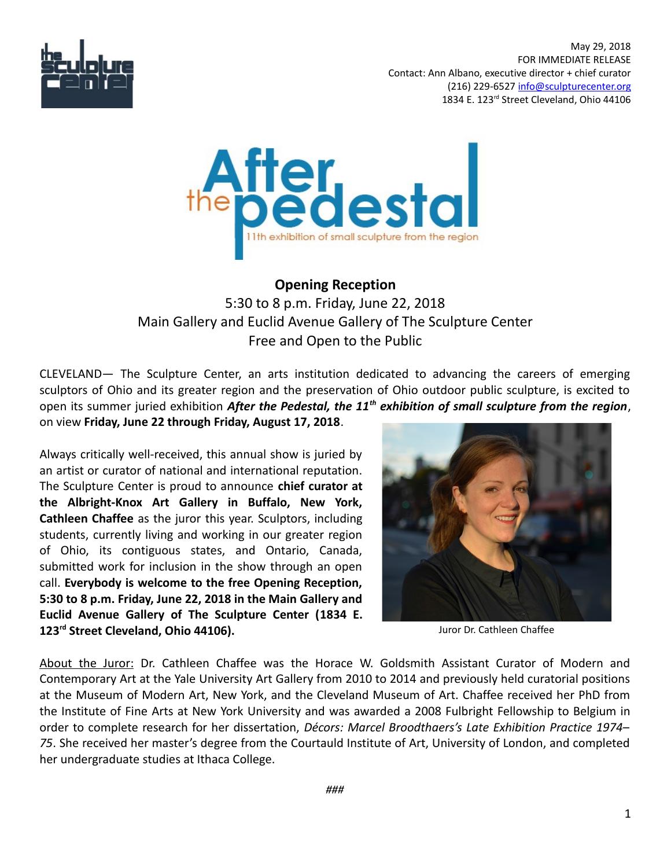

 May 29, 2018 FOR IMMEDIATE RELEASE Contact: Ann Albano, executive director + chief curator (216) 229-6527 [info@sculpturecenter.org](mailto:info@sculpturecenter.org) 1834 E. 123<sup>rd</sup> Street Cleveland, Ohio 44106



## **Opening Reception**

5:30 to 8 p.m. Friday, June 22, 2018 Main Gallery and Euclid Avenue Gallery of The Sculpture Center Free and Open to the Public

CLEVELAND— The Sculpture Center, an arts institution dedicated to advancing the careers of emerging sculptors of Ohio and its greater region and the preservation of Ohio outdoor public sculpture, is excited to open its summer juried exhibition *After the Pedestal, the 11th exhibition of small sculpture from the region*, on view **Friday, June 22 through Friday, August 17, 2018**.

Always critically well-received, this annual show is juried by an artist or curator of national and international reputation. The Sculpture Center is proud to announce **chief curator at the Albright-Knox Art Gallery in Buffalo, New York, Cathleen Chaffee** as the juror this year. Sculptors, including students, currently living and working in our greater region of Ohio, its contiguous states, and Ontario, Canada, submitted work for inclusion in the show through an open call. **Everybody is welcome to the free Opening Reception, 5:30 to 8 p.m. Friday, June 22, 2018 in the Main Gallery and Euclid Avenue Gallery of The Sculpture Center (1834 E. 123rd Street Cleveland, Ohio 44106).** 



Juror Dr. Cathleen Chaffee

About the Juror: Dr. Cathleen Chaffee was the Horace W. Goldsmith Assistant Curator of Modern and Contemporary Art at the Yale University Art Gallery from 2010 to 2014 and previously held curatorial positions at the Museum of Modern Art, New York, and the Cleveland Museum of Art. Chaffee received her PhD from the Institute of Fine Arts at New York University and was awarded a 2008 Fulbright Fellowship to Belgium in order to complete research for her dissertation, *Décors: Marcel Broodthaers's Late Exhibition Practice 1974– 75*. She received her master's degree from the Courtauld Institute of Art, University of London, and completed her undergraduate studies at Ithaca College.